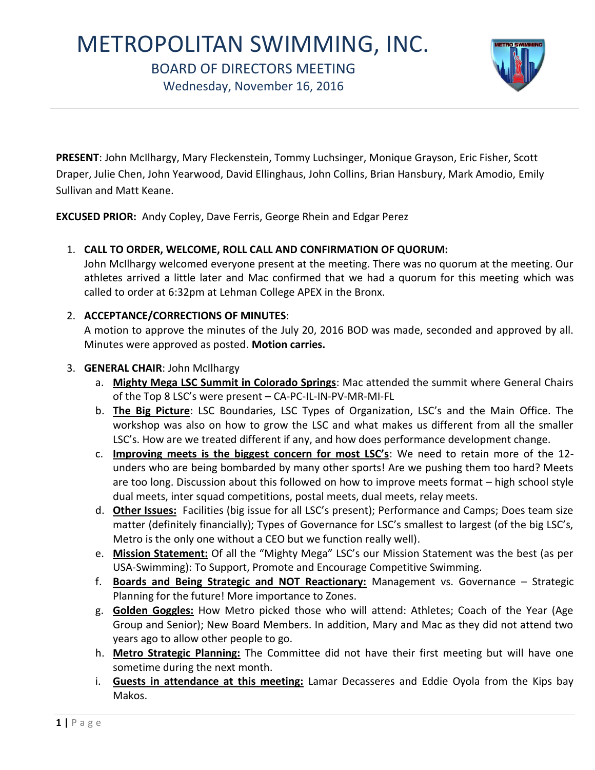# METROPOLITAN SWIMMING, INC.

## BOARD OF DIRECTORS MEETING

Wednesday, November 16, 2016



**PRESENT**: John McIlhargy, Mary Fleckenstein, Tommy Luchsinger, Monique Grayson, Eric Fisher, Scott Draper, Julie Chen, John Yearwood, David Ellinghaus, John Collins, Brian Hansbury, Mark Amodio, Emily Sullivan and Matt Keane.

**EXCUSED PRIOR:** Andy Copley, Dave Ferris, George Rhein and Edgar Perez

## 1. **CALL TO ORDER, WELCOME, ROLL CALL AND CONFIRMATION OF QUORUM:**

John McIlhargy welcomed everyone present at the meeting. There was no quorum at the meeting. Our athletes arrived a little later and Mac confirmed that we had a quorum for this meeting which was called to order at 6:32pm at Lehman College APEX in the Bronx.

## 2. **ACCEPTANCE/CORRECTIONS OF MINUTES**:

A motion to approve the minutes of the July 20, 2016 BOD was made, seconded and approved by all. Minutes were approved as posted. **Motion carries.**

## 3. **GENERAL CHAIR**: John McIlhargy

- a. **Mighty Mega LSC Summit in Colorado Springs**: Mac attended the summit where General Chairs of the Top 8 LSC's were present – CA-PC-IL-IN-PV-MR-MI-FL
- b. **The Big Picture**: LSC Boundaries, LSC Types of Organization, LSC's and the Main Office. The workshop was also on how to grow the LSC and what makes us different from all the smaller LSC's. How are we treated different if any, and how does performance development change.
- c. **Improving meets is the biggest concern for most LSC's**: We need to retain more of the 12 unders who are being bombarded by many other sports! Are we pushing them too hard? Meets are too long. Discussion about this followed on how to improve meets format – high school style dual meets, inter squad competitions, postal meets, dual meets, relay meets.
- d. **Other Issues:** Facilities (big issue for all LSC's present); Performance and Camps; Does team size matter (definitely financially); Types of Governance for LSC's smallest to largest (of the big LSC's, Metro is the only one without a CEO but we function really well).
- e. **Mission Statement:** Of all the "Mighty Mega" LSC's our Mission Statement was the best (as per USA-Swimming): To Support, Promote and Encourage Competitive Swimming.
- f. **Boards and Being Strategic and NOT Reactionary:** Management vs. Governance Strategic Planning for the future! More importance to Zones.
- g. **Golden Goggles:** How Metro picked those who will attend: Athletes; Coach of the Year (Age Group and Senior); New Board Members. In addition, Mary and Mac as they did not attend two years ago to allow other people to go.
- h. **Metro Strategic Planning:** The Committee did not have their first meeting but will have one sometime during the next month.
- i. **Guests in attendance at this meeting:** Lamar Decasseres and Eddie Oyola from the Kips bay Makos.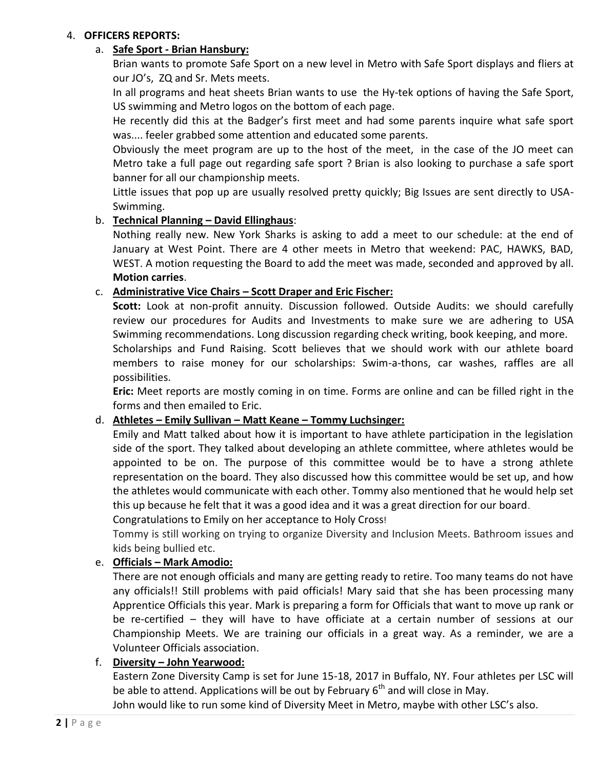#### 4. **OFFICERS REPORTS:**

#### a. **Safe Sport - Brian Hansbury:**

Brian wants to promote Safe Sport on a new level in Metro with Safe Sport displays and fliers at our JO's, ZQ and Sr. Mets meets.

In all programs and heat sheets Brian wants to use the Hy-tek options of having the Safe Sport, US swimming and Metro logos on the bottom of each page.

He recently did this at the Badger's first meet and had some parents inquire what safe sport was.... feeler grabbed some attention and educated some parents.

Obviously the meet program are up to the host of the meet, in the case of the JO meet can Metro take a full page out regarding safe sport ? Brian is also looking to purchase a safe sport banner for all our championship meets.

Little issues that pop up are usually resolved pretty quickly; Big Issues are sent directly to USA-Swimming.

## b. **Technical Planning – David Ellinghaus**:

Nothing really new. New York Sharks is asking to add a meet to our schedule: at the end of January at West Point. There are 4 other meets in Metro that weekend: PAC, HAWKS, BAD, WEST. A motion requesting the Board to add the meet was made, seconded and approved by all. **Motion carries**.

#### c. **Administrative Vice Chairs – Scott Draper and Eric Fischer:**

**Scott:** Look at non-profit annuity. Discussion followed. Outside Audits: we should carefully review our procedures for Audits and Investments to make sure we are adhering to USA Swimming recommendations. Long discussion regarding check writing, book keeping, and more. Scholarships and Fund Raising. Scott believes that we should work with our athlete board members to raise money for our scholarships: Swim-a-thons, car washes, raffles are all possibilities.

**Eric:** Meet reports are mostly coming in on time. Forms are online and can be filled right in the forms and then emailed to Eric.

## d. **Athletes – Emily Sullivan – Matt Keane – Tommy Luchsinger:**

Emily and Matt talked about how it is important to have athlete participation in the legislation side of the sport. They talked about developing an athlete committee, where athletes would be appointed to be on. The purpose of this committee would be to have a strong athlete representation on the board. They also discussed how this committee would be set up, and how the athletes would communicate with each other. Tommy also mentioned that he would help set this up because he felt that it was a good idea and it was a great direction for our board.

Congratulations to Emily on her acceptance to Holy Cross!

Tommy is still working on trying to organize Diversity and Inclusion Meets. Bathroom issues and kids being bullied etc.

#### e. **Officials – Mark Amodio:**

There are not enough officials and many are getting ready to retire. Too many teams do not have any officials!! Still problems with paid officials! Mary said that she has been processing many Apprentice Officials this year. Mark is preparing a form for Officials that want to move up rank or be re-certified – they will have to have officiate at a certain number of sessions at our Championship Meets. We are training our officials in a great way. As a reminder, we are a Volunteer Officials association.

#### f. **Diversity – John Yearwood:**

Eastern Zone Diversity Camp is set for June 15-18, 2017 in Buffalo, NY. Four athletes per LSC will be able to attend. Applications will be out by February  $6<sup>th</sup>$  and will close in May.

John would like to run some kind of Diversity Meet in Metro, maybe with other LSC's also.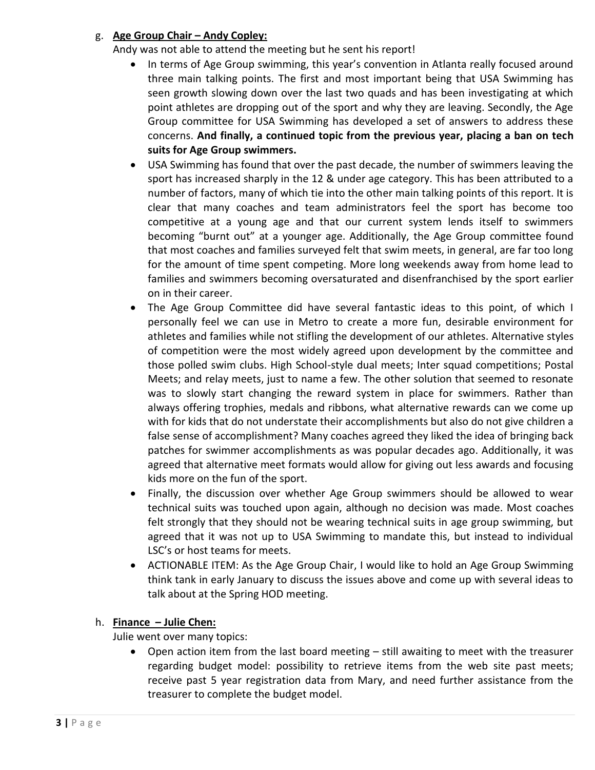## g. **Age Group Chair – Andy Copley:**

Andy was not able to attend the meeting but he sent his report!

- In terms of Age Group swimming, this year's convention in Atlanta really focused around three main talking points. The first and most important being that USA Swimming has seen growth slowing down over the last two quads and has been investigating at which point athletes are dropping out of the sport and why they are leaving. Secondly, the Age Group committee for USA Swimming has developed a set of answers to address these concerns. **And finally, a continued topic from the previous year, placing a ban on tech suits for Age Group swimmers.**
- USA Swimming has found that over the past decade, the number of swimmers leaving the sport has increased sharply in the 12 & under age category. This has been attributed to a number of factors, many of which tie into the other main talking points of this report. It is clear that many coaches and team administrators feel the sport has become too competitive at a young age and that our current system lends itself to swimmers becoming "burnt out" at a younger age. Additionally, the Age Group committee found that most coaches and families surveyed felt that swim meets, in general, are far too long for the amount of time spent competing. More long weekends away from home lead to families and swimmers becoming oversaturated and disenfranchised by the sport earlier on in their career.
- The Age Group Committee did have several fantastic ideas to this point, of which I personally feel we can use in Metro to create a more fun, desirable environment for athletes and families while not stifling the development of our athletes. Alternative styles of competition were the most widely agreed upon development by the committee and those polled swim clubs. High School-style dual meets; Inter squad competitions; Postal Meets; and relay meets, just to name a few. The other solution that seemed to resonate was to slowly start changing the reward system in place for swimmers. Rather than always offering trophies, medals and ribbons, what alternative rewards can we come up with for kids that do not understate their accomplishments but also do not give children a false sense of accomplishment? Many coaches agreed they liked the idea of bringing back patches for swimmer accomplishments as was popular decades ago. Additionally, it was agreed that alternative meet formats would allow for giving out less awards and focusing kids more on the fun of the sport.
- Finally, the discussion over whether Age Group swimmers should be allowed to wear technical suits was touched upon again, although no decision was made. Most coaches felt strongly that they should not be wearing technical suits in age group swimming, but agreed that it was not up to USA Swimming to mandate this, but instead to individual LSC's or host teams for meets.
- ACTIONABLE ITEM: As the Age Group Chair, I would like to hold an Age Group Swimming think tank in early January to discuss the issues above and come up with several ideas to talk about at the Spring HOD meeting.

## h. **Finance – Julie Chen:**

Julie went over many topics:

 Open action item from the last board meeting – still awaiting to meet with the treasurer regarding budget model: possibility to retrieve items from the web site past meets; receive past 5 year registration data from Mary, and need further assistance from the treasurer to complete the budget model.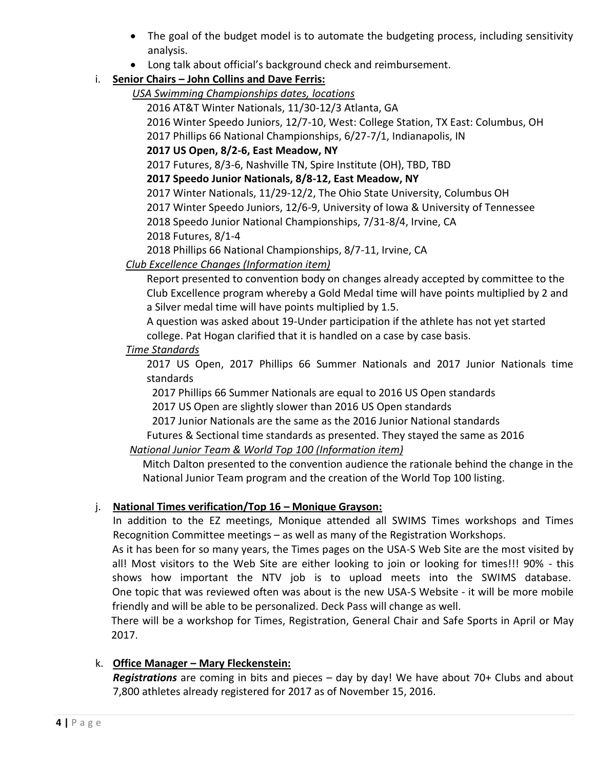- The goal of the budget model is to automate the budgeting process, including sensitivity analysis.
- Long talk about official's background check and reimbursement.

# i. **Senior Chairs – John Collins and Dave Ferris:**

*USA Swimming Championships dates, locations*

2016 AT&T Winter Nationals, 11/30-12/3 Atlanta, GA

2016 Winter Speedo Juniors, 12/7-10, West: College Station, TX East: Columbus, OH

2017 Phillips 66 National Championships, 6/27-7/1, Indianapolis, IN

# **2017 US Open, 8/2-6, East Meadow, NY**

2017 Futures, 8/3-6, Nashville TN, Spire Institute (OH), TBD, TBD

# **2017 Speedo Junior Nationals, 8/8-12, East Meadow, NY**

2017 Winter Nationals, 11/29-12/2, The Ohio State University, Columbus OH

2017 Winter Speedo Juniors, 12/6-9, University of Iowa & University of Tennessee

2018 Speedo Junior National Championships, 7/31-8/4, Irvine, CA

2018 Futures, 8/1-4

2018 Phillips 66 National Championships, 8/7-11, Irvine, CA

# *Club Excellence Changes (Information item)*

Report presented to convention body on changes already accepted by committee to the Club Excellence program whereby a Gold Medal time will have points multiplied by 2 and a Silver medal time will have points multiplied by 1.5.

A question was asked about 19-Under participation if the athlete has not yet started college. Pat Hogan clarified that it is handled on a case by case basis.

## *Time Standards*

2017 US Open, 2017 Phillips 66 Summer Nationals and 2017 Junior Nationals time standards

2017 Phillips 66 Summer Nationals are equal to 2016 US Open standards

2017 US Open are slightly slower than 2016 US Open standards

2017 Junior Nationals are the same as the 2016 Junior National standards

Futures & Sectional time standards as presented. They stayed the same as 2016

# *National Junior Team & World Top 100 (Information item)*

 Mitch Dalton presented to the convention audience the rationale behind the change in the National Junior Team program and the creation of the World Top 100 listing.

# j. **National Times verification/Top 16 – Monique Grayson:**

In addition to the EZ meetings, Monique attended all SWIMS Times workshops and Times Recognition Committee meetings – as well as many of the Registration Workshops.

As it has been for so many years, the Times pages on the USA-S Web Site are the most visited by all! Most visitors to the Web Site are either looking to join or looking for times!!! 90% - this shows how important the NTV job is to upload meets into the SWIMS database. One topic that was reviewed often was about is the new USA-S Website - it will be more mobile friendly and will be able to be personalized. Deck Pass will change as well.

There will be a workshop for Times, Registration, General Chair and Safe Sports in April or May 2017.

# k. **Office Manager – Mary Fleckenstein:**

*Registrations* are coming in bits and pieces – day by day! We have about 70+ Clubs and about 7,800 athletes already registered for 2017 as of November 15, 2016.